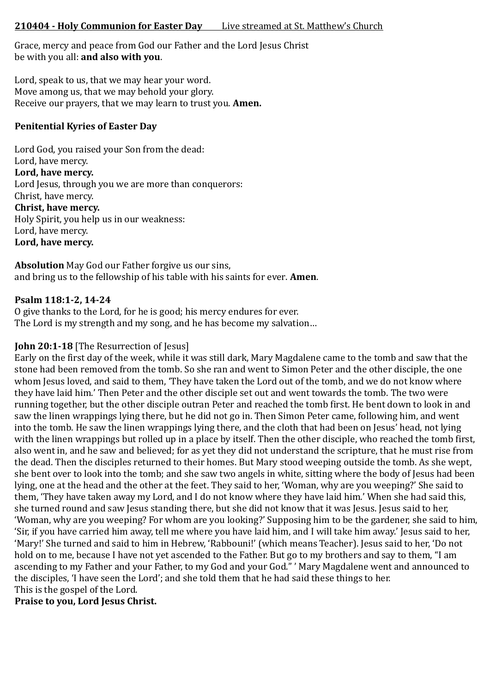#### **210404 - Holy Communion for Easter Day** Live streamed at St. Matthew's Church

Grace, mercy and peace from God our Father and the Lord Jesus Christ be with you all: **and also with you**.

Lord, speak to us, that we may hear your word. Move among us, that we may behold your glory. Receive our prayers, that we may learn to trust you. **Amen.**

# **Penitential Kyries of Easter Day**

Lord God, you raised your Son from the dead: Lord, have mercy. **Lord, have mercy.** Lord Jesus, through you we are more than conquerors: Christ, have mercy. **Christ, have mercy.** Holy Spirit, you help us in our weakness: Lord, have mercy. **Lord, have mercy.** 

**Absolution** May God our Father forgive us our sins, and bring us to the fellowship of his table with his saints for ever. **Amen**.

## **Psalm 118:1-2, 14-24**

O give thanks to the Lord, for he is good; his mercy endures for ever. The Lord is my strength and my song, and he has become my salvation…

# **John 20:1-18** [The Resurrection of Jesus]

Early on the first day of the week, while it was still dark, Mary Magdalene came to the tomb and saw that the stone had been removed from the tomb. So she ran and went to Simon Peter and the other disciple, the one whom Jesus loved, and said to them, 'They have taken the Lord out of the tomb, and we do not know where they have laid him.' Then Peter and the other disciple set out and went towards the tomb. The two were running together, but the other disciple outran Peter and reached the tomb first. He bent down to look in and saw the linen wrappings lying there, but he did not go in. Then Simon Peter came, following him, and went into the tomb. He saw the linen wrappings lying there, and the cloth that had been on Jesus' head, not lying with the linen wrappings but rolled up in a place by itself. Then the other disciple, who reached the tomb first, also went in, and he saw and believed; for as yet they did not understand the scripture, that he must rise from the dead. Then the disciples returned to their homes. But Mary stood weeping outside the tomb. As she wept, she bent over to look into the tomb; and she saw two angels in white, sitting where the body of Jesus had been lying, one at the head and the other at the feet. They said to her, 'Woman, why are you weeping?' She said to them, 'They have taken away my Lord, and I do not know where they have laid him.' When she had said this, she turned round and saw Jesus standing there, but she did not know that it was Jesus. Jesus said to her, 'Woman, why are you weeping? For whom are you looking?' Supposing him to be the gardener, she said to him, 'Sir, if you have carried him away, tell me where you have laid him, and I will take him away.' Jesus said to her, 'Mary!' She turned and said to him in Hebrew, 'Rabbouni!' (which means Teacher). Jesus said to her, 'Do not hold on to me, because I have not yet ascended to the Father. But go to my brothers and say to them, "I am ascending to my Father and your Father, to my God and your God." ' Mary Magdalene went and announced to the disciples, 'I have seen the Lord'; and she told them that he had said these things to her. This is the gospel of the Lord.

**Praise to you, Lord Jesus Christ.**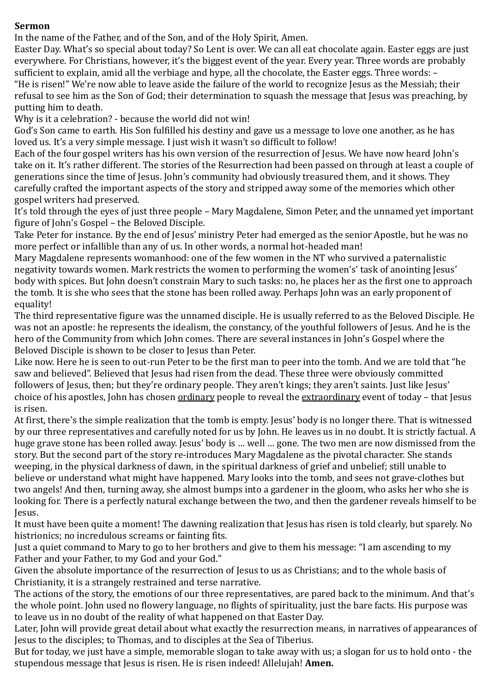#### **Sermon**

In the name of the Father, and of the Son, and of the Holy Spirit, Amen.

Easter Day. What's so special about today? So Lent is over. We can all eat chocolate again. Easter eggs are just everywhere. For Christians, however, it's the biggest event of the year. Every year. Three words are probably sufficient to explain, amid all the verbiage and hype, all the chocolate, the Easter eggs. Three words: – "He is risen!" We're now able to leave aside the failure of the world to recognize Jesus as the Messiah; their refusal to see him as the Son of God; their determination to squash the message that Jesus was preaching, by putting him to death.

Why is it a celebration? - because the world did not win!

God's Son came to earth. His Son fulfilled his destiny and gave us a message to love one another, as he has loved us. It's a very simple message. I just wish it wasn't so difficult to follow!

Each of the four gospel writers has his own version of the resurrection of Jesus. We have now heard John's take on it. It's rather different. The stories of the Resurrection had been passed on through at least a couple of generations since the time of Jesus. John's community had obviously treasured them, and it shows. They carefully crafted the important aspects of the story and stripped away some of the memories which other gospel writers had preserved.

It's told through the eyes of just three people – Mary Magdalene, Simon Peter, and the unnamed yet important figure of John's Gospel – the Beloved Disciple.

Take Peter for instance. By the end of Jesus' ministry Peter had emerged as the senior Apostle, but he was no more perfect or infallible than any of us. In other words, a normal hot-headed man!

Mary Magdalene represents womanhood: one of the few women in the NT who survived a paternalistic negativity towards women. Mark restricts the women to performing the women's' task of anointing Jesus' body with spices. But John doesn't constrain Mary to such tasks: no, he places her as the first one to approach the tomb. It is she who sees that the stone has been rolled away. Perhaps John was an early proponent of equality!

The third representative figure was the unnamed disciple. He is usually referred to as the Beloved Disciple. He was not an apostle: he represents the idealism, the constancy, of the youthful followers of Jesus. And he is the hero of the Community from which John comes. There are several instances in John's Gospel where the Beloved Disciple is shown to be closer to Jesus than Peter.

Like now. Here he is seen to out-run Peter to be the first man to peer into the tomb. And we are told that "he saw and believed". Believed that Jesus had risen from the dead. These three were obviously committed followers of Jesus, then; but they're ordinary people. They aren't kings; they aren't saints. Just like Jesus' choice of his apostles, John has chosen ordinary people to reveal the extraordinary event of today – that Jesus is risen.

At first, there's the simple realization that the tomb is empty. Jesus' body is no longer there. That is witnessed by our three representatives and carefully noted for us by John. He leaves us in no doubt. It is strictly factual. A huge grave stone has been rolled away. Jesus' body is … well … gone. The two men are now dismissed from the story. But the second part of the story re-introduces Mary Magdalene as the pivotal character. She stands weeping, in the physical darkness of dawn, in the spiritual darkness of grief and unbelief; still unable to believe or understand what might have happened. Mary looks into the tomb, and sees not grave-clothes but two angels! And then, turning away, she almost bumps into a gardener in the gloom, who asks her who she is looking for. There is a perfectly natural exchange between the two, and then the gardener reveals himself to be Jesus.

It must have been quite a moment! The dawning realization that Jesus has risen is told clearly, but sparely. No histrionics; no incredulous screams or fainting fits.

Just a quiet command to Mary to go to her brothers and give to them his message: "I am ascending to my Father and your Father, to my God and your God."

Given the absolute importance of the resurrection of Jesus to us as Christians; and to the whole basis of Christianity, it is a strangely restrained and terse narrative.

The actions of the story, the emotions of our three representatives, are pared back to the minimum. And that's the whole point. John used no flowery language, no flights of spirituality, just the bare facts. His purpose was to leave us in no doubt of the reality of what happened on that Easter Day.

Later, John will provide great detail about what exactly the resurrection means, in narratives of appearances of Jesus to the disciples; to Thomas, and to disciples at the Sea of Tiberius.

But for today, we just have a simple, memorable slogan to take away with us; a slogan for us to hold onto - the stupendous message that Jesus is risen. He is risen indeed! Allelujah! **Amen.**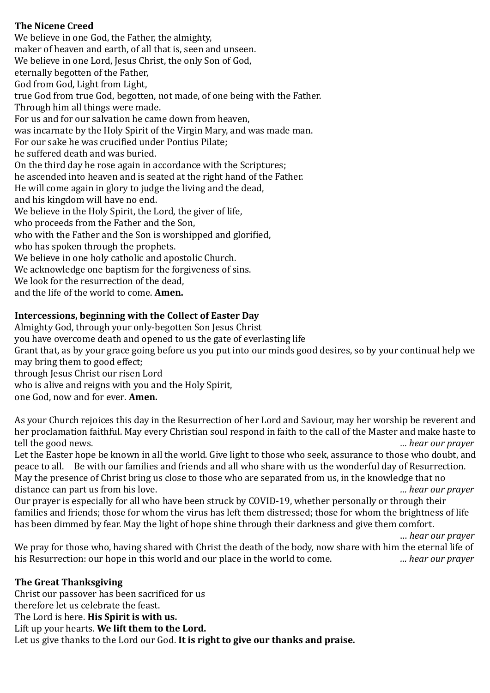## **The Nicene Creed**

We believe in one God, the Father, the almighty, maker of heaven and earth, of all that is, seen and unseen. We believe in one Lord, Jesus Christ, the only Son of God, eternally begotten of the Father, God from God, Light from Light, true God from true God, begotten, not made, of one being with the Father. Through him all things were made. For us and for our salvation he came down from heaven, was incarnate by the Holy Spirit of the Virgin Mary, and was made man. For our sake he was crucified under Pontius Pilate; he suffered death and was buried. On the third day he rose again in accordance with the Scriptures; he ascended into heaven and is seated at the right hand of the Father. He will come again in glory to judge the living and the dead, and his kingdom will have no end. We believe in the Holy Spirit, the Lord, the giver of life, who proceeds from the Father and the Son, who with the Father and the Son is worshipped and glorified, who has spoken through the prophets. We believe in one holy catholic and apostolic Church. We acknowledge one baptism for the forgiveness of sins. We look for the resurrection of the dead, and the life of the world to come. **Amen.**

## **Intercessions, beginning with the Collect of Easter Day**

Almighty God, through your only-begotten Son Jesus Christ

you have overcome death and opened to us the gate of everlasting life

Grant that, as by your grace going before us you put into our minds good desires, so by your continual help we may bring them to good effect;

through Jesus Christ our risen Lord

who is alive and reigns with you and the Holy Spirit,

one God, now and for ever. **Amen.**

As your Church rejoices this day in the Resurrection of her Lord and Saviour, may her worship be reverent and her proclamation faithful. May every Christian soul respond in faith to the call of the Master and make haste to tell the good news. *… hear our prayer*

Let the Easter hope be known in all the world. Give light to those who seek, assurance to those who doubt, and peace to all. Be with our families and friends and all who share with us the wonderful day of Resurrection. May the presence of Christ bring us close to those who are separated from us, in the knowledge that no distance can part us from his love. *… hear our prayer*

Our prayer is especially for all who have been struck by COVID-19, whether personally or through their families and friends; those for whom the virus has left them distressed; those for whom the brightness of life has been dimmed by fear. May the light of hope shine through their darkness and give them comfort.

… *hear our prayer*

We pray for those who, having shared with Christ the death of the body, now share with him the eternal life of his Resurrection: our hope in this world and our place in the world to come. *… hear our prayer*

## **The Great Thanksgiving**

Christ our passover has been sacrificed for us

therefore let us celebrate the feast.

The Lord is here. **His Spirit is with us.** 

Lift up your hearts. **We lift them to the Lord.** 

Let us give thanks to the Lord our God. **It is right to give our thanks and praise.**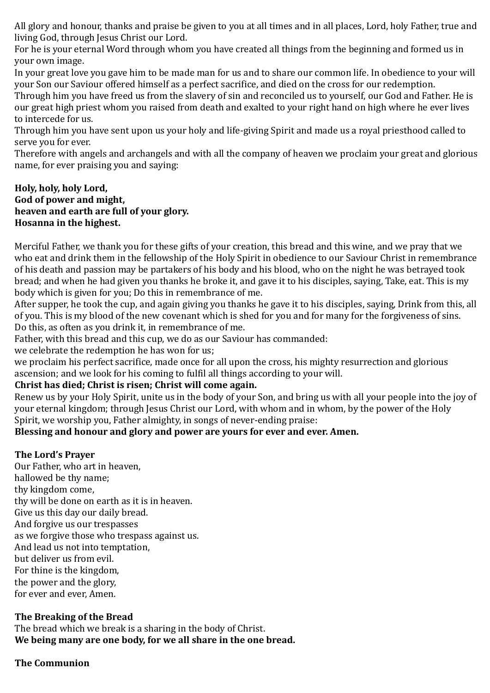All glory and honour, thanks and praise be given to you at all times and in all places, Lord, holy Father, true and living God, through Jesus Christ our Lord.

For he is your eternal Word through whom you have created all things from the beginning and formed us in your own image.

In your great love you gave him to be made man for us and to share our common life. In obedience to your will your Son our Saviour offered himself as a perfect sacrifice, and died on the cross for our redemption.

Through him you have freed us from the slavery of sin and reconciled us to yourself, our God and Father. He is our great high priest whom you raised from death and exalted to your right hand on high where he ever lives to intercede for us.

Through him you have sent upon us your holy and life-giving Spirit and made us a royal priesthood called to serve you for ever.

Therefore with angels and archangels and with all the company of heaven we proclaim your great and glorious name, for ever praising you and saying:

#### **Holy, holy, holy Lord, God of power and might, heaven and earth are full of your glory. Hosanna in the highest.**

Merciful Father, we thank you for these gifts of your creation, this bread and this wine, and we pray that we who eat and drink them in the fellowship of the Holy Spirit in obedience to our Saviour Christ in remembrance of his death and passion may be partakers of his body and his blood, who on the night he was betrayed took bread; and when he had given you thanks he broke it, and gave it to his disciples, saying, Take, eat. This is my body which is given for you; Do this in remembrance of me.

After supper, he took the cup, and again giving you thanks he gave it to his disciples, saying, Drink from this, all of you. This is my blood of the new covenant which is shed for you and for many for the forgiveness of sins. Do this, as often as you drink it, in remembrance of me.

Father, with this bread and this cup, we do as our Saviour has commanded:

we celebrate the redemption he has won for us;

we proclaim his perfect sacrifice, made once for all upon the cross, his mighty resurrection and glorious ascension; and we look for his coming to fulfil all things according to your will.

## **Christ has died; Christ is risen; Christ will come again.**

Renew us by your Holy Spirit, unite us in the body of your Son, and bring us with all your people into the joy of your eternal kingdom; through Jesus Christ our Lord, with whom and in whom, by the power of the Holy Spirit, we worship you, Father almighty, in songs of never-ending praise:

## **Blessing and honour and glory and power are yours for ever and ever. Amen.**

## **The Lord's Prayer**

Our Father, who art in heaven, hallowed be thy name; thy kingdom come, thy will be done on earth as it is in heaven. Give us this day our daily bread. And forgive us our trespasses as we forgive those who trespass against us. And lead us not into temptation, but deliver us from evil. For thine is the kingdom, the power and the glory, for ever and ever, Amen.

## **The Breaking of the Bread**

The bread which we break is a sharing in the body of Christ. **We being many are one body, for we all share in the one bread.**

#### **The Communion**